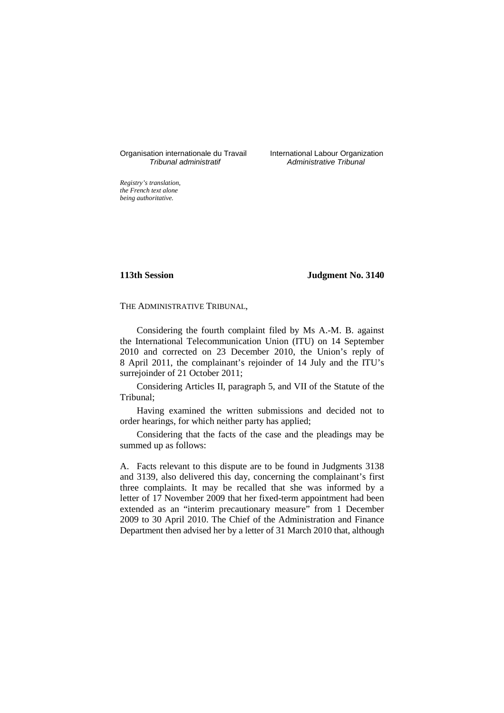Organisation internationale du Travail International Labour Organization<br> *Tribunal administratif Administrative Tribunal* 

Administrative Tribunal

*Registry's translation, the French text alone being authoritative.*

**113th Session Judgment No. 3140**

THE ADMINISTRATIVE TRIBUNAL,

Considering the fourth complaint filed by Ms A.-M. B. against the International Telecommunication Union (ITU) on 14 September 2010 and corrected on 23 December 2010, the Union's reply of 8 April 2011, the complainant's rejoinder of 14 July and the ITU's surrejoinder of 21 October 2011;

Considering Articles II, paragraph 5, and VII of the Statute of the Tribunal;

Having examined the written submissions and decided not to order hearings, for which neither party has applied;

Considering that the facts of the case and the pleadings may be summed up as follows:

A. Facts relevant to this dispute are to be found in Judgments 3138 and 3139, also delivered this day, concerning the complainant's first three complaints. It may be recalled that she was informed by a letter of 17 November 2009 that her fixed-term appointment had been extended as an "interim precautionary measure" from 1 December 2009 to 30 April 2010. The Chief of the Administration and Finance Department then advised her by a letter of 31 March 2010 that, although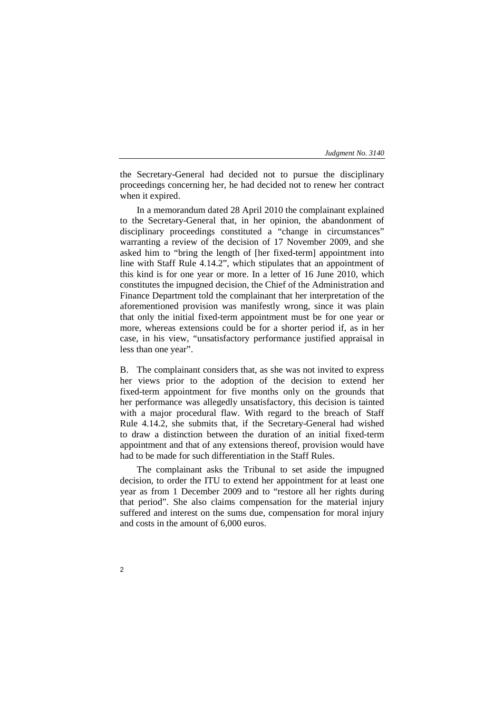the Secretary-General had decided not to pursue the disciplinary proceedings concerning her, he had decided not to renew her contract when it expired.

In a memorandum dated 28 April 2010 the complainant explained to the Secretary-General that, in her opinion, the abandonment of disciplinary proceedings constituted a "change in circumstances" warranting a review of the decision of 17 November 2009, and she asked him to "bring the length of [her fixed-term] appointment into line with Staff Rule 4.14.2", which stipulates that an appointment of this kind is for one year or more. In a letter of 16 June 2010, which constitutes the impugned decision, the Chief of the Administration and Finance Department told the complainant that her interpretation of the aforementioned provision was manifestly wrong, since it was plain that only the initial fixed-term appointment must be for one year or more, whereas extensions could be for a shorter period if, as in her case, in his view, "unsatisfactory performance justified appraisal in less than one year".

B. The complainant considers that, as she was not invited to express her views prior to the adoption of the decision to extend her fixed-term appointment for five months only on the grounds that her performance was allegedly unsatisfactory, this decision is tainted with a major procedural flaw. With regard to the breach of Staff Rule 4.14.2, she submits that, if the Secretary-General had wished to draw a distinction between the duration of an initial fixed-term appointment and that of any extensions thereof, provision would have had to be made for such differentiation in the Staff Rules.

The complainant asks the Tribunal to set aside the impugned decision, to order the ITU to extend her appointment for at least one year as from 1 December 2009 and to "restore all her rights during that period". She also claims compensation for the material injury suffered and interest on the sums due, compensation for moral injury and costs in the amount of 6,000 euros.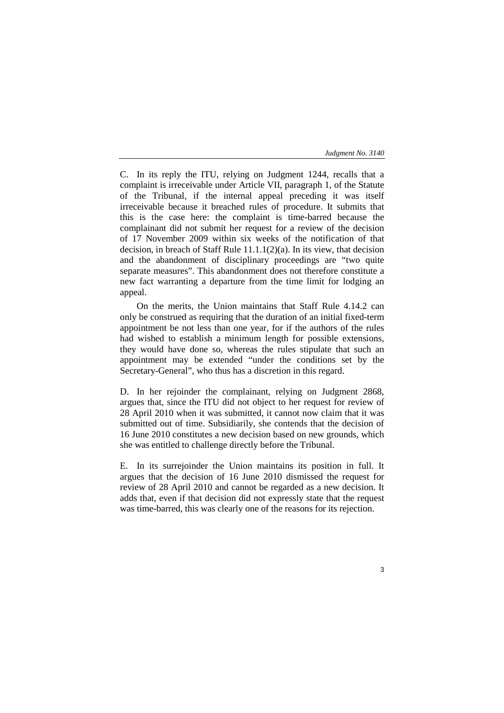C. In its reply the ITU, relying on Judgment 1244, recalls that a complaint is irreceivable under Article VII, paragraph 1, of the Statute of the Tribunal, if the internal appeal preceding it was itself irreceivable because it breached rules of procedure. It submits that this is the case here: the complaint is time-barred because the complainant did not submit her request for a review of the decision of 17 November 2009 within six weeks of the notification of that decision, in breach of Staff Rule 11.1.1(2)(a). In its view, that decision and the abandonment of disciplinary proceedings are "two quite separate measures". This abandonment does not therefore constitute a new fact warranting a departure from the time limit for lodging an appeal.

On the merits, the Union maintains that Staff Rule 4.14.2 can only be construed as requiring that the duration of an initial fixed-term appointment be not less than one year, for if the authors of the rules had wished to establish a minimum length for possible extensions, they would have done so, whereas the rules stipulate that such an appointment may be extended "under the conditions set by the Secretary-General", who thus has a discretion in this regard.

D. In her rejoinder the complainant, relying on Judgment 2868, argues that, since the ITU did not object to her request for review of 28 April 2010 when it was submitted, it cannot now claim that it was submitted out of time. Subsidiarily, she contends that the decision of 16 June 2010 constitutes a new decision based on new grounds, which she was entitled to challenge directly before the Tribunal.

E. In its surrejoinder the Union maintains its position in full. It argues that the decision of 16 June 2010 dismissed the request for review of 28 April 2010 and cannot be regarded as a new decision. It adds that, even if that decision did not expressly state that the request was time-barred, this was clearly one of the reasons for its rejection.

3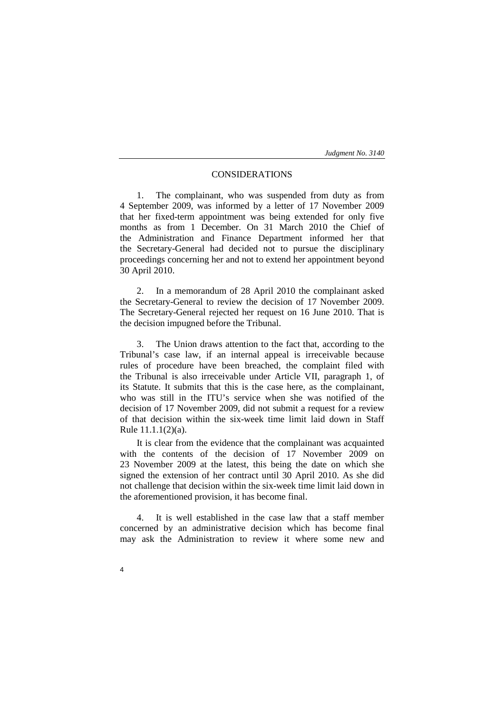## CONSIDERATIONS

1. The complainant, who was suspended from duty as from 4 September 2009, was informed by a letter of 17 November 2009 that her fixed-term appointment was being extended for only five months as from 1 December. On 31 March 2010 the Chief of the Administration and Finance Department informed her that the Secretary-General had decided not to pursue the disciplinary proceedings concerning her and not to extend her appointment beyond 30 April 2010.

2. In a memorandum of 28 April 2010 the complainant asked the Secretary-General to review the decision of 17 November 2009. The Secretary-General rejected her request on 16 June 2010. That is the decision impugned before the Tribunal.

3. The Union draws attention to the fact that, according to the Tribunal's case law, if an internal appeal is irreceivable because rules of procedure have been breached, the complaint filed with the Tribunal is also irreceivable under Article VII, paragraph 1, of its Statute. It submits that this is the case here, as the complainant, who was still in the ITU's service when she was notified of the decision of 17 November 2009, did not submit a request for a review of that decision within the six-week time limit laid down in Staff Rule 11.1.1(2)(a).

It is clear from the evidence that the complainant was acquainted with the contents of the decision of 17 November 2009 on 23 November 2009 at the latest, this being the date on which she signed the extension of her contract until 30 April 2010. As she did not challenge that decision within the six-week time limit laid down in the aforementioned provision, it has become final.

4. It is well established in the case law that a staff member concerned by an administrative decision which has become final may ask the Administration to review it where some new and

4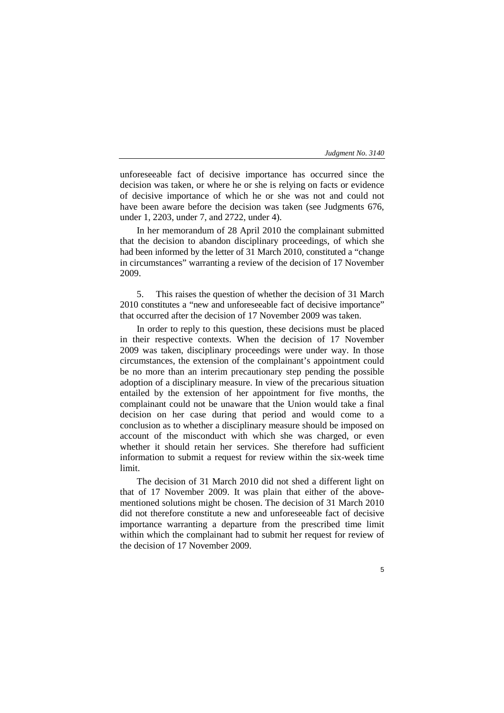5

unforeseeable fact of decisive importance has occurred since the decision was taken, or where he or she is relying on facts or evidence of decisive importance of which he or she was not and could not have been aware before the decision was taken (see Judgments 676, under 1, 2203, under 7, and 2722, under 4).

In her memorandum of 28 April 2010 the complainant submitted that the decision to abandon disciplinary proceedings, of which she had been informed by the letter of 31 March 2010, constituted a "change in circumstances" warranting a review of the decision of 17 November 2009.

5. This raises the question of whether the decision of 31 March 2010 constitutes a "new and unforeseeable fact of decisive importance" that occurred after the decision of 17 November 2009 was taken.

In order to reply to this question, these decisions must be placed in their respective contexts. When the decision of 17 November 2009 was taken, disciplinary proceedings were under way. In those circumstances, the extension of the complainant's appointment could be no more than an interim precautionary step pending the possible adoption of a disciplinary measure. In view of the precarious situation entailed by the extension of her appointment for five months, the complainant could not be unaware that the Union would take a final decision on her case during that period and would come to a conclusion as to whether a disciplinary measure should be imposed on account of the misconduct with which she was charged, or even whether it should retain her services. She therefore had sufficient information to submit a request for review within the six-week time limit.

The decision of 31 March 2010 did not shed a different light on that of 17 November 2009. It was plain that either of the abovementioned solutions might be chosen. The decision of 31 March 2010 did not therefore constitute a new and unforeseeable fact of decisive importance warranting a departure from the prescribed time limit within which the complainant had to submit her request for review of the decision of 17 November 2009.